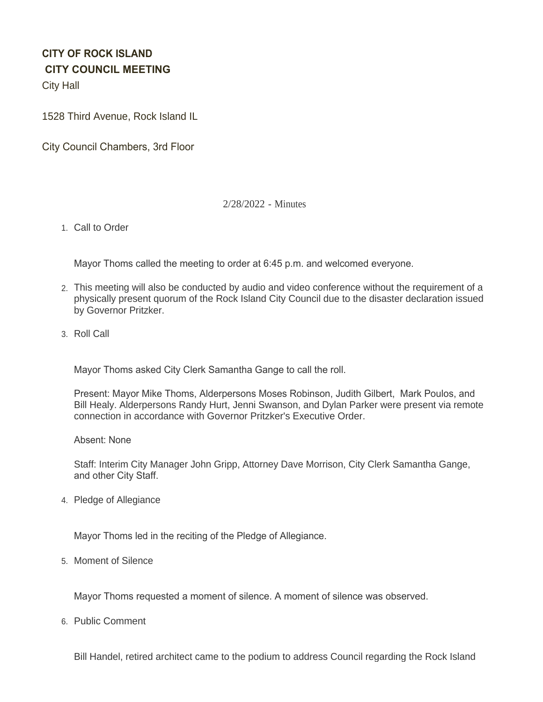# **CITY OF ROCK ISLAND CITY COUNCIL MEETING**

City Hall

1528 Third Avenue, Rock Island IL

City Council Chambers, 3rd Floor

## 2/28/2022 - Minutes

1. Call to Order

Mayor Thoms called the meeting to order at 6:45 p.m. and welcomed everyone.

- This meeting will also be conducted by audio and video conference without the requirement of a 2. physically present quorum of the Rock Island City Council due to the disaster declaration issued by Governor Pritzker.
- 3. Roll Call

Mayor Thoms asked City Clerk Samantha Gange to call the roll.

Present: Mayor Mike Thoms, Alderpersons Moses Robinson, Judith Gilbert, Mark Poulos, and Bill Healy. Alderpersons Randy Hurt, Jenni Swanson, and Dylan Parker were present via remote connection in accordance with Governor Pritzker's Executive Order.

Absent: None

Staff: Interim City Manager John Gripp, Attorney Dave Morrison, City Clerk Samantha Gange, and other City Staff.

4. Pledge of Allegiance

Mayor Thoms led in the reciting of the Pledge of Allegiance.

5. Moment of Silence

Mayor Thoms requested a moment of silence. A moment of silence was observed.

6. Public Comment

Bill Handel, retired architect came to the podium to address Council regarding the Rock Island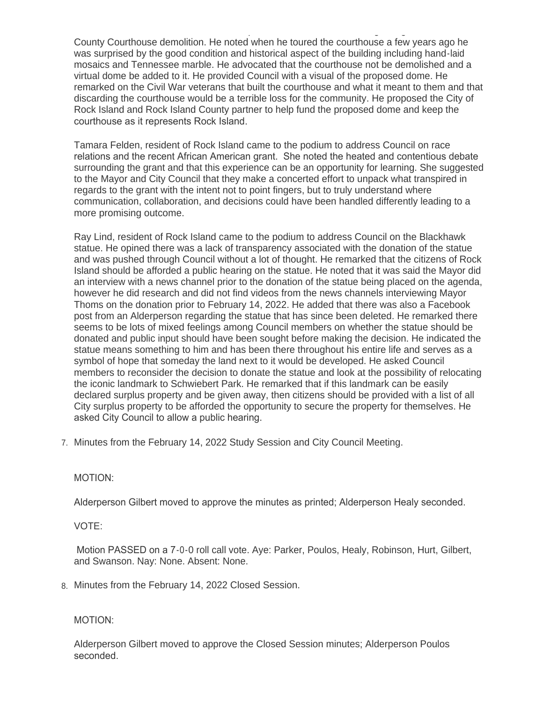Bill Handel, retired architect came to the podium to address Council regarding the Rock Island County Courthouse demolition. He noted when he toured the courthouse a few years ago he was surprised by the good condition and historical aspect of the building including hand-laid mosaics and Tennessee marble. He advocated that the courthouse not be demolished and a virtual dome be added to it. He provided Council with a visual of the proposed dome. He remarked on the Civil War veterans that built the courthouse and what it meant to them and that discarding the courthouse would be a terrible loss for the community. He proposed the City of Rock Island and Rock Island County partner to help fund the proposed dome and keep the courthouse as it represents Rock Island.

Tamara Felden, resident of Rock Island came to the podium to address Council on race relations and the recent African American grant. She noted the heated and contentious debate surrounding the grant and that this experience can be an opportunity for learning. She suggested to the Mayor and City Council that they make a concerted effort to unpack what transpired in regards to the grant with the intent not to point fingers, but to truly understand where communication, collaboration, and decisions could have been handled differently leading to a more promising outcome.

Ray Lind, resident of Rock Island came to the podium to address Council on the Blackhawk statue. He opined there was a lack of transparency associated with the donation of the statue and was pushed through Council without a lot of thought. He remarked that the citizens of Rock Island should be afforded a public hearing on the statue. He noted that it was said the Mayor did an interview with a news channel prior to the donation of the statue being placed on the agenda, however he did research and did not find videos from the news channels interviewing Mayor Thoms on the donation prior to February 14, 2022. He added that there was also a Facebook post from an Alderperson regarding the statue that has since been deleted. He remarked there seems to be lots of mixed feelings among Council members on whether the statue should be donated and public input should have been sought before making the decision. He indicated the statue means something to him and has been there throughout his entire life and serves as a symbol of hope that someday the land next to it would be developed. He asked Council members to reconsider the decision to donate the statue and look at the possibility of relocating the iconic landmark to Schwiebert Park. He remarked that if this landmark can be easily declared surplus property and be given away, then citizens should be provided with a list of all City surplus property to be afforded the opportunity to secure the property for themselves. He asked City Council to allow a public hearing.

7. Minutes from the February 14, 2022 Study Session and City Council Meeting.

## MOTION:

Alderperson Gilbert moved to approve the minutes as printed; Alderperson Healy seconded.

## VOTE:

 Motion PASSED on a 7-0-0 roll call vote. Aye: Parker, Poulos, Healy, Robinson, Hurt, Gilbert, and Swanson. Nay: None. Absent: None.

Minutes from the February 14, 2022 Closed Session. 8.

## MOTION:

Alderperson Gilbert moved to approve the Closed Session minutes; Alderperson Poulos seconded.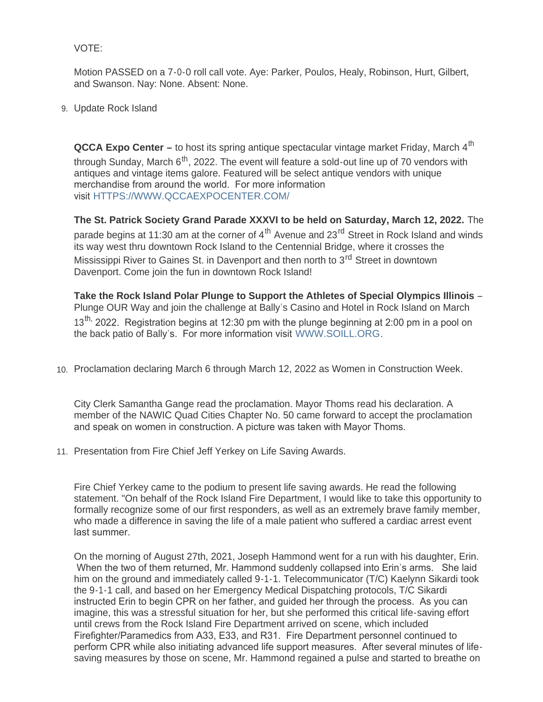## VOTE:

Motion PASSED on a 7-0-0 roll call vote. Aye: Parker, Poulos, Healy, Robinson, Hurt, Gilbert, and Swanson. Nay: None. Absent: None.

## Update Rock Island 9.

**QCCA Expo Center –** to host its spring antique spectacular vintage market Friday, March 4<sup>th</sup> through Sunday, March  $6<sup>th</sup>$ , 2022. The event will feature a sold-out line up of 70 vendors with antiques and vintage items galore. Featured will be select antique vendors with unique merchandise from around the world. For more information visit [HTTPS://WWW.QCCAEXPOCENTER.COM/](https://www.qccaexpocenter.com/)

**The St. Patrick Society Grand Parade XXXVI to be held on Saturday, March 12, 2022.** The parade begins at 11:30 am at the corner of  $4^{\text{th}}$  Avenue and 23<sup>rd</sup> Street in Rock Island and winds its way west thru downtown Rock Island to the Centennial Bridge, where it crosses the Mississippi River to Gaines St. in Davenport and then north to 3<sup>rd</sup> Street in downtown Davenport. Come join the fun in downtown Rock Island!

**Take the Rock Island Polar Plunge to Support the Athletes of Special Olympics Illinois** – Plunge OUR Way and join the challenge at Bally's Casino and Hotel in Rock Island on March  $13<sup>th</sup>$ , 2022. Registration begins at 12:30 pm with the plunge beginning at 2:00 pm in a pool on the back patio of Bally's. For more information visit [WWW.SOILL.ORG](http://www.soill.org/).

10. Proclamation declaring March 6 through March 12, 2022 as Women in Construction Week.

City Clerk Samantha Gange read the proclamation. Mayor Thoms read his declaration. A member of the NAWIC Quad Cities Chapter No. 50 came forward to accept the proclamation and speak on women in construction. A picture was taken with Mayor Thoms.

11. Presentation from Fire Chief Jeff Yerkey on Life Saving Awards.

Fire Chief Yerkey came to the podium to present life saving awards. He read the following statement. "On behalf of the Rock Island Fire Department, I would like to take this opportunity to formally recognize some of our first responders, as well as an extremely brave family member, who made a difference in saving the life of a male patient who suffered a cardiac arrest event last summer.

On the morning of August 27th, 2021, Joseph Hammond went for a run with his daughter, Erin. When the two of them returned, Mr. Hammond suddenly collapsed into Erin's arms. She laid him on the ground and immediately called 9-1-1. Telecommunicator (T/C) Kaelynn Sikardi took the 9-1-1 call, and based on her Emergency Medical Dispatching protocols, T/C Sikardi instructed Erin to begin CPR on her father, and guided her through the process. As you can imagine, this was a stressful situation for her, but she performed this critical life-saving effort until crews from the Rock Island Fire Department arrived on scene, which included Firefighter/Paramedics from A33, E33, and R31. Fire Department personnel continued to perform CPR while also initiating advanced life support measures. After several minutes of lifesaving measures by those on scene, Mr. Hammond regained a pulse and started to breathe on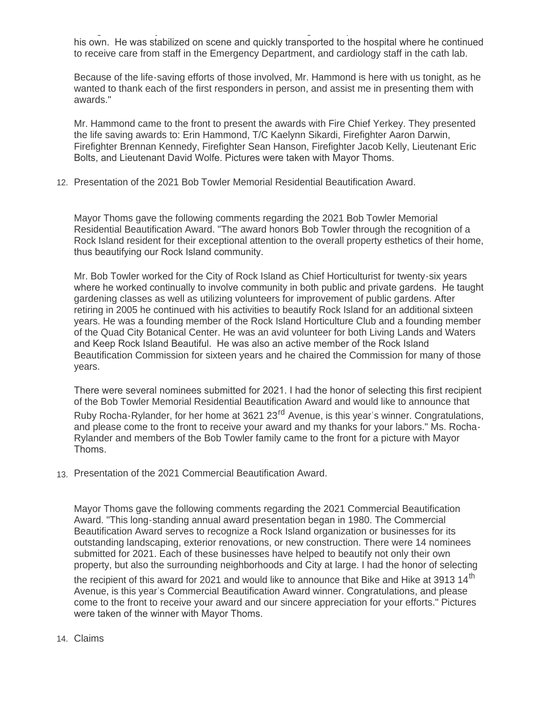saving measures by those on scene, Mr. Hammond regained a pulse and started to breathe on his own. He was stabilized on scene and quickly transported to the hospital where he continued to receive care from staff in the Emergency Department, and cardiology staff in the cath lab.

Because of the life-saving efforts of those involved, Mr. Hammond is here with us tonight, as he wanted to thank each of the first responders in person, and assist me in presenting them with awards."

Mr. Hammond came to the front to present the awards with Fire Chief Yerkey. They presented the life saving awards to: Erin Hammond, T/C Kaelynn Sikardi, Firefighter Aaron Darwin, Firefighter Brennan Kennedy, Firefighter Sean Hanson, Firefighter Jacob Kelly, Lieutenant Eric Bolts, and Lieutenant David Wolfe. Pictures were taken with Mayor Thoms.

12. Presentation of the 2021 Bob Towler Memorial Residential Beautification Award.

Mayor Thoms gave the following comments regarding the 2021 Bob Towler Memorial Residential Beautification Award. "The award honors Bob Towler through the recognition of a Rock Island resident for their exceptional attention to the overall property esthetics of their home, thus beautifying our Rock Island community.

Mr. Bob Towler worked for the City of Rock Island as Chief Horticulturist for twenty-six years where he worked continually to involve community in both public and private gardens. He taught gardening classes as well as utilizing volunteers for improvement of public gardens. After retiring in 2005 he continued with his activities to beautify Rock Island for an additional sixteen years. He was a founding member of the Rock Island Horticulture Club and a founding member of the Quad City Botanical Center. He was an avid volunteer for both Living Lands and Waters and Keep Rock Island Beautiful. He was also an active member of the Rock Island Beautification Commission for sixteen years and he chaired the Commission for many of those years.

There were several nominees submitted for 2021. I had the honor of selecting this first recipient of the Bob Towler Memorial Residential Beautification Award and would like to announce that Ruby Rocha-Rylander, for her home at 3621 23<sup>rd</sup> Avenue, is this year's winner. Congratulations, and please come to the front to receive your award and my thanks for your labors." Ms. Rocha-Rylander and members of the Bob Towler family came to the front for a picture with Mayor Thoms.

Presentation of the 2021 Commercial Beautification Award. 13.

Mayor Thoms gave the following comments regarding the 2021 Commercial Beautification Award. "This long-standing annual award presentation began in 1980. The Commercial Beautification Award serves to recognize a Rock Island organization or businesses for its outstanding landscaping, exterior renovations, or new construction. There were 14 nominees submitted for 2021. Each of these businesses have helped to beautify not only their own property, but also the surrounding neighborhoods and City at large. I had the honor of selecting the recipient of this award for 2021 and would like to announce that Bike and Hike at 3913 14<sup>th</sup> Avenue, is this year's Commercial Beautification Award winner. Congratulations, and please come to the front to receive your award and our sincere appreciation for your efforts." Pictures were taken of the winner with Mayor Thoms.

## Claims 14.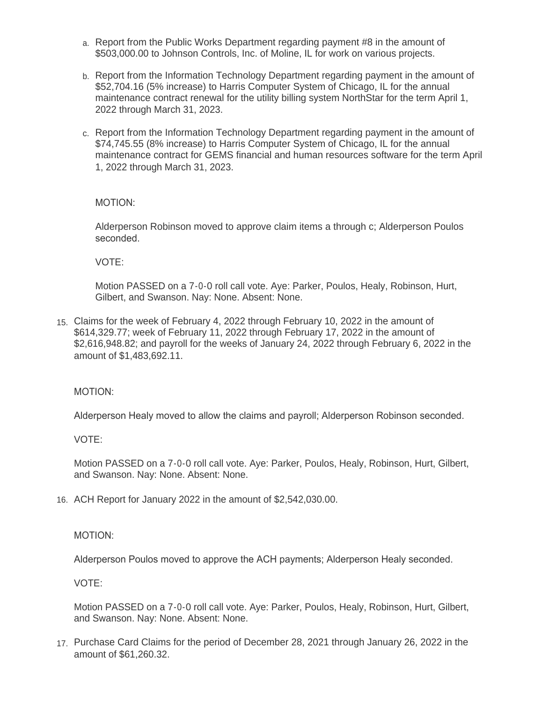- a. Report from the Public Works Department regarding payment #8 in the amount of \$503,000.00 to Johnson Controls, Inc. of Moline, IL for work on various projects.
- b. Report from the Information Technology Department regarding payment in the amount of \$52,704.16 (5% increase) to Harris Computer System of Chicago, IL for the annual maintenance contract renewal for the utility billing system NorthStar for the term April 1, 2022 through March 31, 2023.
- c. Report from the Information Technology Department regarding payment in the amount of \$74,745.55 (8% increase) to Harris Computer System of Chicago, IL for the annual maintenance contract for GEMS financial and human resources software for the term April 1, 2022 through March 31, 2023.

MOTION:

Alderperson Robinson moved to approve claim items a through c; Alderperson Poulos seconded.

VOTE:

Motion PASSED on a 7-0-0 roll call vote. Aye: Parker, Poulos, Healy, Robinson, Hurt, Gilbert, and Swanson. Nay: None. Absent: None.

Claims for the week of February 4, 2022 through February 10, 2022 in the amount of 15. \$614,329.77; week of February 11, 2022 through February 17, 2022 in the amount of \$2,616,948.82; and payroll for the weeks of January 24, 2022 through February 6, 2022 in the amount of \$1,483,692.11.

MOTION:

Alderperson Healy moved to allow the claims and payroll; Alderperson Robinson seconded.

VOTE:

Motion PASSED on a 7-0-0 roll call vote. Aye: Parker, Poulos, Healy, Robinson, Hurt, Gilbert, and Swanson. Nay: None. Absent: None.

ACH Report for January 2022 in the amount of \$2,542,030.00. 16.

#### MOTION:

Alderperson Poulos moved to approve the ACH payments; Alderperson Healy seconded.

VOTE:

Motion PASSED on a 7-0-0 roll call vote. Aye: Parker, Poulos, Healy, Robinson, Hurt, Gilbert, and Swanson. Nay: None. Absent: None.

17. Purchase Card Claims for the period of December 28, 2021 through January 26, 2022 in the amount of \$61,260.32.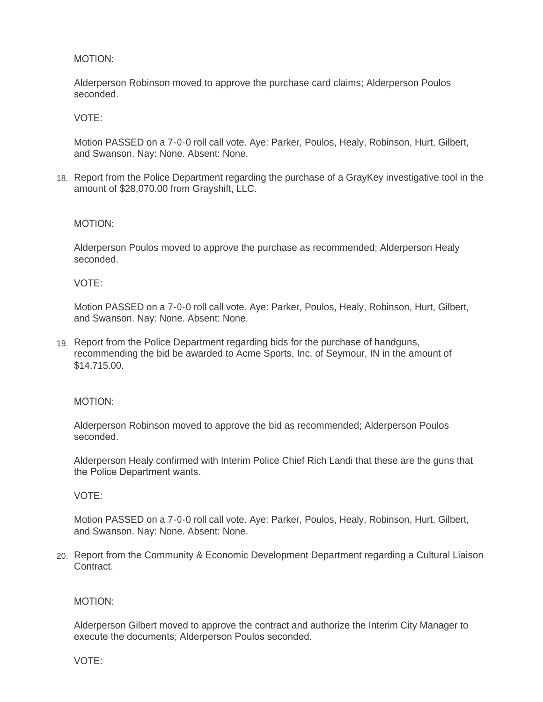## MOTION:

Alderperson Robinson moved to approve the purchase card claims; Alderperson Poulos seconded.

## VOTE:

Motion PASSED on a 7-0-0 roll call vote. Aye: Parker, Poulos, Healy, Robinson, Hurt, Gilbert, and Swanson. Nay: None. Absent: None.

18. Report from the Police Department regarding the purchase of a GrayKey investigative tool in the amount of \$28,070.00 from Grayshift, LLC.

#### MOTION:

Alderperson Poulos moved to approve the purchase as recommended; Alderperson Healy seconded.

#### VOTE:

Motion PASSED on a 7-0-0 roll call vote. Aye: Parker, Poulos, Healy, Robinson, Hurt, Gilbert, and Swanson. Nay: None. Absent: None.

Report from the Police Department regarding bids for the purchase of handguns, 19. recommending the bid be awarded to Acme Sports, Inc. of Seymour, IN in the amount of \$14,715.00.

#### MOTION:

Alderperson Robinson moved to approve the bid as recommended; Alderperson Poulos seconded.

Alderperson Healy confirmed with Interim Police Chief Rich Landi that these are the guns that the Police Department wants.

#### VOTE:

Motion PASSED on a 7-0-0 roll call vote. Aye: Parker, Poulos, Healy, Robinson, Hurt, Gilbert, and Swanson. Nay: None. Absent: None.

Report from the Community & Economic Development Department regarding a Cultural Liaison 20. Contract.

#### MOTION:

Alderperson Gilbert moved to approve the contract and authorize the Interim City Manager to execute the documents; Alderperson Poulos seconded.

VOTE: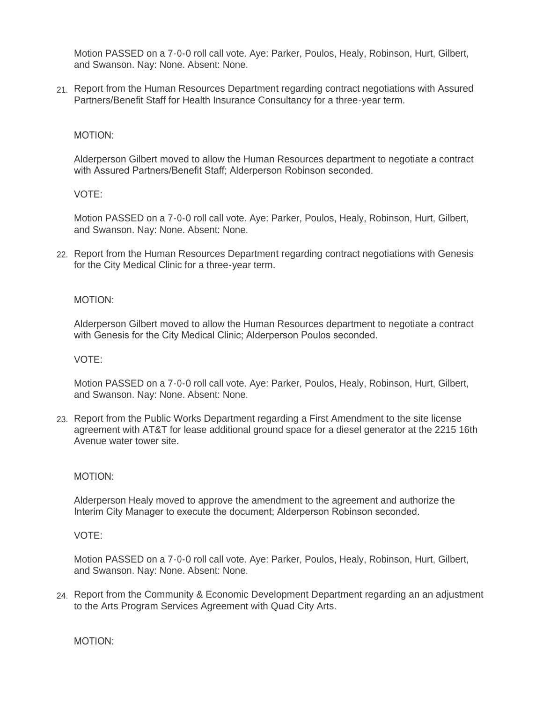Motion PASSED on a 7-0-0 roll call vote. Aye: Parker, Poulos, Healy, Robinson, Hurt, Gilbert, and Swanson. Nay: None. Absent: None.

21. Report from the Human Resources Department regarding contract negotiations with Assured Partners/Benefit Staff for Health Insurance Consultancy for a three-year term.

#### MOTION:

Alderperson Gilbert moved to allow the Human Resources department to negotiate a contract with Assured Partners/Benefit Staff; Alderperson Robinson seconded.

#### VOTE:

Motion PASSED on a 7-0-0 roll call vote. Aye: Parker, Poulos, Healy, Robinson, Hurt, Gilbert, and Swanson. Nay: None. Absent: None.

22. Report from the Human Resources Department regarding contract negotiations with Genesis for the City Medical Clinic for a three-year term.

#### MOTION:

Alderperson Gilbert moved to allow the Human Resources department to negotiate a contract with Genesis for the City Medical Clinic; Alderperson Poulos seconded.

#### VOTE:

Motion PASSED on a 7-0-0 roll call vote. Aye: Parker, Poulos, Healy, Robinson, Hurt, Gilbert, and Swanson. Nay: None. Absent: None.

Report from the Public Works Department regarding a First Amendment to the site license 23. agreement with AT&T for lease additional ground space for a diesel generator at the 2215 16th Avenue water tower site.

#### MOTION:

Alderperson Healy moved to approve the amendment to the agreement and authorize the Interim City Manager to execute the document; Alderperson Robinson seconded.

#### VOTE:

Motion PASSED on a 7-0-0 roll call vote. Aye: Parker, Poulos, Healy, Robinson, Hurt, Gilbert, and Swanson. Nay: None. Absent: None.

24. Report from the Community & Economic Development Department regarding an an adjustment to the Arts Program Services Agreement with Quad City Arts.

MOTION: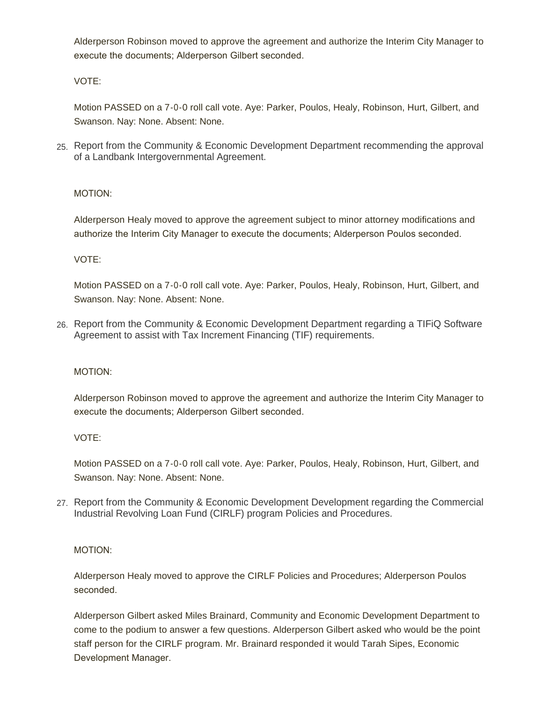Alderperson Robinson moved to approve the agreement and authorize the Interim City Manager to execute the documents; Alderperson Gilbert seconded.

VOTE:

Motion PASSED on a 7-0-0 roll call vote. Aye: Parker, Poulos, Healy, Robinson, Hurt, Gilbert, and Swanson. Nay: None. Absent: None.

25. Report from the Community & Economic Development Department recommending the approval of a Landbank Intergovernmental Agreement.

## MOTION:

Alderperson Healy moved to approve the agreement subject to minor attorney modifications and authorize the Interim City Manager to execute the documents; Alderperson Poulos seconded.

VOTE:

Motion PASSED on a 7-0-0 roll call vote. Aye: Parker, Poulos, Healy, Robinson, Hurt, Gilbert, and Swanson. Nay: None. Absent: None.

26. Report from the Community & Economic Development Department regarding a TIFiQ Software Agreement to assist with Tax Increment Financing (TIF) requirements.

## MOTION:

Alderperson Robinson moved to approve the agreement and authorize the Interim City Manager to execute the documents; Alderperson Gilbert seconded.

VOTE:

Motion PASSED on a 7-0-0 roll call vote. Aye: Parker, Poulos, Healy, Robinson, Hurt, Gilbert, and Swanson. Nay: None. Absent: None.

27. Report from the Community & Economic Development Development regarding the Commercial Industrial Revolving Loan Fund (CIRLF) program Policies and Procedures.

MOTION:

Alderperson Healy moved to approve the CIRLF Policies and Procedures; Alderperson Poulos seconded.

Alderperson Gilbert asked Miles Brainard, Community and Economic Development Department to come to the podium to answer a few questions. Alderperson Gilbert asked who would be the point staff person for the CIRLF program. Mr. Brainard responded it would Tarah Sipes, Economic Development Manager.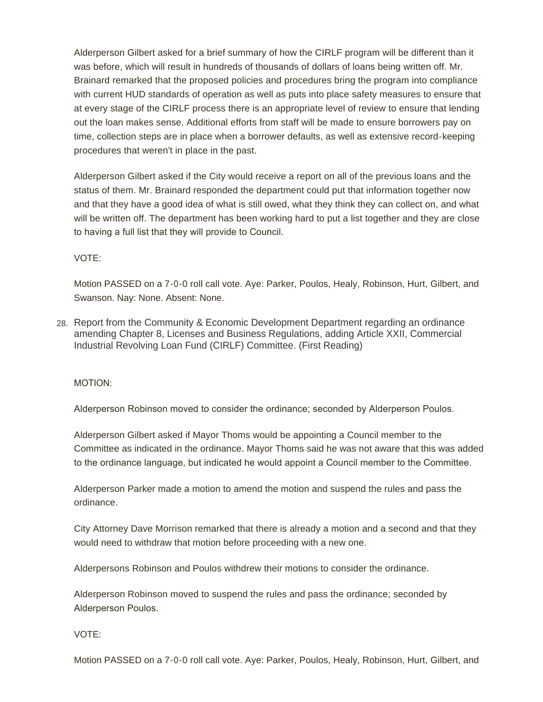Alderperson Gilbert asked for a brief summary of how the CIRLF program will be different than it was before, which will result in hundreds of thousands of dollars of loans being written off. Mr. Brainard remarked that the proposed policies and procedures bring the program into compliance with current HUD standards of operation as well as puts into place safety measures to ensure that at every stage of the CIRLF process there is an appropriate level of review to ensure that lending out the loan makes sense. Additional efforts from staff will be made to ensure borrowers pay on time, collection steps are in place when a borrower defaults, as well as extensive record-keeping procedures that weren't in place in the past.

Alderperson Gilbert asked if the City would receive a report on all of the previous loans and the status of them. Mr. Brainard responded the department could put that information together now and that they have a good idea of what is still owed, what they think they can collect on, and what will be written off. The department has been working hard to put a list together and they are close to having a full list that they will provide to Council.

VOTE:

Motion PASSED on a 7-0-0 roll call vote. Aye: Parker, Poulos, Healy, Robinson, Hurt, Gilbert, and Swanson. Nay: None. Absent: None.

28. Report from the Community & Economic Development Department regarding an ordinance amending Chapter 8, Licenses and Business Regulations, adding Article XXII, Commercial Industrial Revolving Loan Fund (CIRLF) Committee. (First Reading)

MOTION:

Alderperson Robinson moved to consider the ordinance; seconded by Alderperson Poulos.

Alderperson Gilbert asked if Mayor Thoms would be appointing a Council member to the Committee as indicated in the ordinance. Mayor Thoms said he was not aware that this was added to the ordinance language, but indicated he would appoint a Council member to the Committee.

Alderperson Parker made a motion to amend the motion and suspend the rules and pass the ordinance.

City Attorney Dave Morrison remarked that there is already a motion and a second and that they would need to withdraw that motion before proceeding with a new one.

Alderpersons Robinson and Poulos withdrew their motions to consider the ordinance.

Alderperson Robinson moved to suspend the rules and pass the ordinance; seconded by Alderperson Poulos.

VOTE:

Motion PASSED on a 7-0-0 roll call vote. Aye: Parker, Poulos, Healy, Robinson, Hurt, Gilbert, and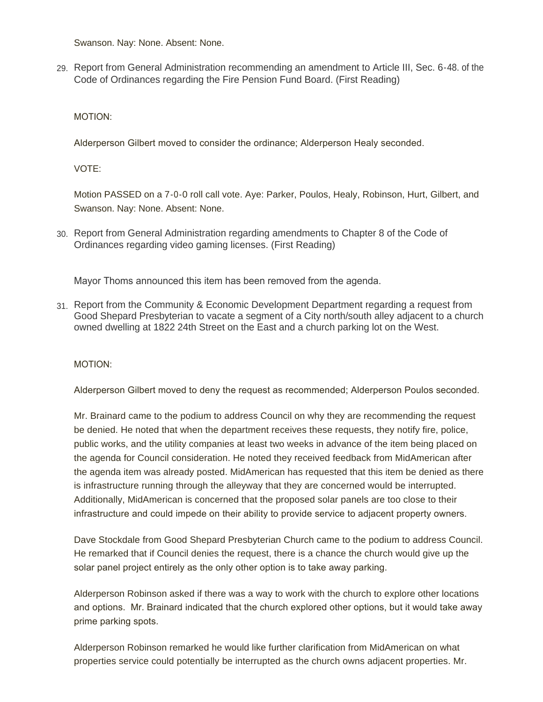Swanson. Nay: None. Absent: None.

Report from General Administration recommending an amendment to Article III, Sec. 6-48. of the 29. Code of Ordinances regarding the Fire Pension Fund Board. (First Reading)

MOTION:

Alderperson Gilbert moved to consider the ordinance; Alderperson Healy seconded.

VOTE:

Motion PASSED on a 7-0-0 roll call vote. Aye: Parker, Poulos, Healy, Robinson, Hurt, Gilbert, and Swanson. Nay: None. Absent: None.

Report from General Administration regarding amendments to Chapter 8 of the Code of 30. Ordinances regarding video gaming licenses. (First Reading)

Mayor Thoms announced this item has been removed from the agenda.

31. Report from the Community & Economic Development Department regarding a request from Good Shepard Presbyterian to vacate a segment of a City north/south alley adjacent to a church owned dwelling at 1822 24th Street on the East and a church parking lot on the West.

MOTION:

Alderperson Gilbert moved to deny the request as recommended; Alderperson Poulos seconded.

Mr. Brainard came to the podium to address Council on why they are recommending the request be denied. He noted that when the department receives these requests, they notify fire, police, public works, and the utility companies at least two weeks in advance of the item being placed on the agenda for Council consideration. He noted they received feedback from MidAmerican after the agenda item was already posted. MidAmerican has requested that this item be denied as there is infrastructure running through the alleyway that they are concerned would be interrupted. Additionally, MidAmerican is concerned that the proposed solar panels are too close to their infrastructure and could impede on their ability to provide service to adjacent property owners.

Dave Stockdale from Good Shepard Presbyterian Church came to the podium to address Council. He remarked that if Council denies the request, there is a chance the church would give up the solar panel project entirely as the only other option is to take away parking.

Alderperson Robinson asked if there was a way to work with the church to explore other locations and options. Mr. Brainard indicated that the church explored other options, but it would take away prime parking spots.

Alderperson Robinson remarked he would like further clarification from MidAmerican on what properties service could potentially be interrupted as the church owns adjacent properties. Mr.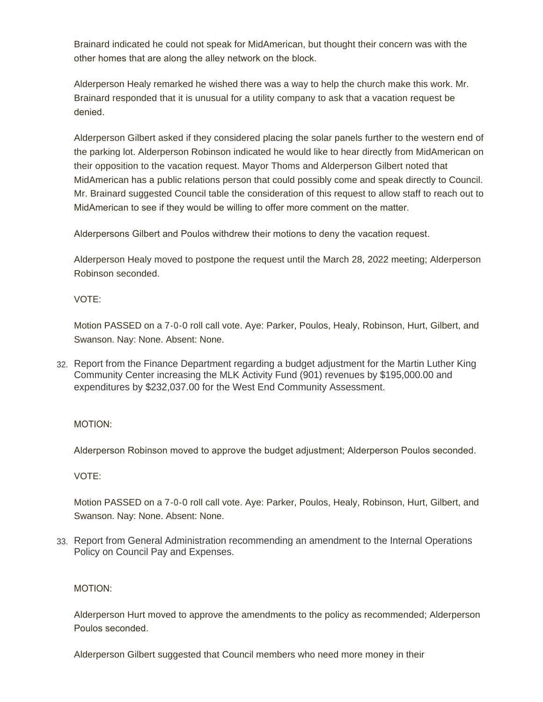Brainard indicated he could not speak for MidAmerican, but thought their concern was with the other homes that are along the alley network on the block.

Alderperson Healy remarked he wished there was a way to help the church make this work. Mr. Brainard responded that it is unusual for a utility company to ask that a vacation request be denied.

Alderperson Gilbert asked if they considered placing the solar panels further to the western end of the parking lot. Alderperson Robinson indicated he would like to hear directly from MidAmerican on their opposition to the vacation request. Mayor Thoms and Alderperson Gilbert noted that MidAmerican has a public relations person that could possibly come and speak directly to Council. Mr. Brainard suggested Council table the consideration of this request to allow staff to reach out to MidAmerican to see if they would be willing to offer more comment on the matter.

Alderpersons Gilbert and Poulos withdrew their motions to deny the vacation request.

Alderperson Healy moved to postpone the request until the March 28, 2022 meeting; Alderperson Robinson seconded.

VOTE:

Motion PASSED on a 7-0-0 roll call vote. Aye: Parker, Poulos, Healy, Robinson, Hurt, Gilbert, and Swanson. Nay: None. Absent: None.

Report from the Finance Department regarding a budget adjustment for the Martin Luther King 32. Community Center increasing the MLK Activity Fund (901) revenues by \$195,000.00 and expenditures by \$232,037.00 for the West End Community Assessment.

MOTION:

Alderperson Robinson moved to approve the budget adjustment; Alderperson Poulos seconded.

VOTE:

Motion PASSED on a 7-0-0 roll call vote. Aye: Parker, Poulos, Healy, Robinson, Hurt, Gilbert, and Swanson. Nay: None. Absent: None.

Report from General Administration recommending an amendment to the Internal Operations 33. Policy on Council Pay and Expenses.

MOTION:

Alderperson Hurt moved to approve the amendments to the policy as recommended; Alderperson Poulos seconded.

Alderperson Gilbert suggested that Council members who need more money in their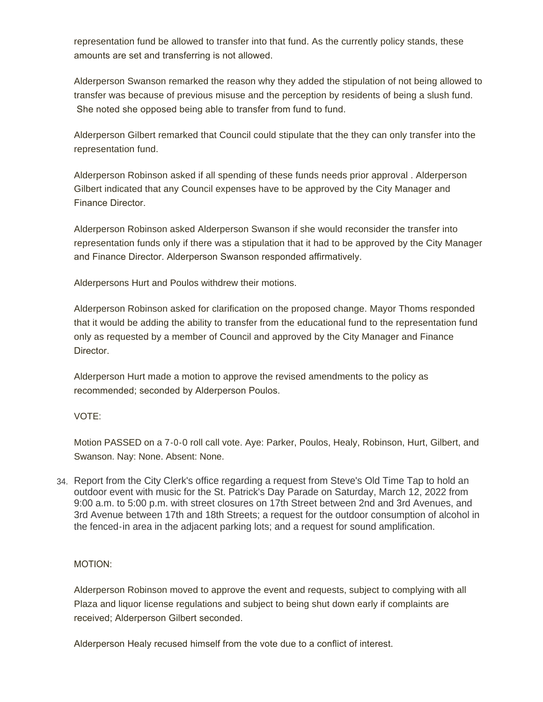representation fund be allowed to transfer into that fund. As the currently policy stands, these amounts are set and transferring is not allowed.

Alderperson Swanson remarked the reason why they added the stipulation of not being allowed to transfer was because of previous misuse and the perception by residents of being a slush fund. She noted she opposed being able to transfer from fund to fund.

Alderperson Gilbert remarked that Council could stipulate that the they can only transfer into the representation fund.

Alderperson Robinson asked if all spending of these funds needs prior approval . Alderperson Gilbert indicated that any Council expenses have to be approved by the City Manager and Finance Director.

Alderperson Robinson asked Alderperson Swanson if she would reconsider the transfer into representation funds only if there was a stipulation that it had to be approved by the City Manager and Finance Director. Alderperson Swanson responded affirmatively.

Alderpersons Hurt and Poulos withdrew their motions.

Alderperson Robinson asked for clarification on the proposed change. Mayor Thoms responded that it would be adding the ability to transfer from the educational fund to the representation fund only as requested by a member of Council and approved by the City Manager and Finance Director.

Alderperson Hurt made a motion to approve the revised amendments to the policy as recommended; seconded by Alderperson Poulos.

## VOTE:

Motion PASSED on a 7-0-0 roll call vote. Aye: Parker, Poulos, Healy, Robinson, Hurt, Gilbert, and Swanson. Nay: None. Absent: None.

34. Report from the City Clerk's office regarding a request from Steve's Old Time Tap to hold an outdoor event with music for the St. Patrick's Day Parade on Saturday, March 12, 2022 from 9:00 a.m. to 5:00 p.m. with street closures on 17th Street between 2nd and 3rd Avenues, and 3rd Avenue between 17th and 18th Streets; a request for the outdoor consumption of alcohol in the fenced-in area in the adjacent parking lots; and a request for sound amplification.

## MOTION:

Alderperson Robinson moved to approve the event and requests, subject to complying with all Plaza and liquor license regulations and subject to being shut down early if complaints are received; Alderperson Gilbert seconded.

Alderperson Healy recused himself from the vote due to a conflict of interest.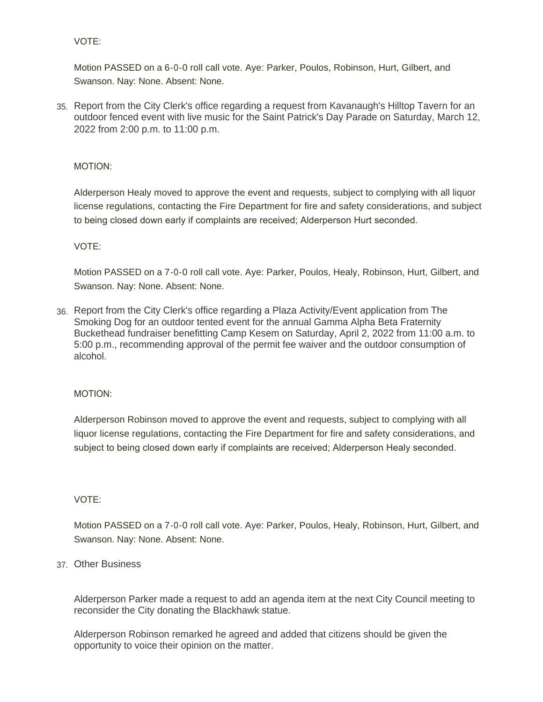## VOTE:

Motion PASSED on a 6-0-0 roll call vote. Aye: Parker, Poulos, Robinson, Hurt, Gilbert, and Swanson. Nay: None. Absent: None.

35. Report from the City Clerk's office regarding a request from Kavanaugh's Hilltop Tavern for an outdoor fenced event with live music for the Saint Patrick's Day Parade on Saturday, March 12, 2022 from 2:00 p.m. to 11:00 p.m.

#### MOTION:

Alderperson Healy moved to approve the event and requests, subject to complying with all liquor license regulations, contacting the Fire Department for fire and safety considerations, and subject to being closed down early if complaints are received; Alderperson Hurt seconded.

#### VOTE:

Motion PASSED on a 7-0-0 roll call vote. Aye: Parker, Poulos, Healy, Robinson, Hurt, Gilbert, and Swanson. Nay: None. Absent: None.

Report from the City Clerk's office regarding a Plaza Activity/Event application from The 36. Smoking Dog for an outdoor tented event for the annual Gamma Alpha Beta Fraternity Buckethead fundraiser benefitting Camp Kesem on Saturday, April 2, 2022 from 11:00 a.m. to 5:00 p.m., recommending approval of the permit fee waiver and the outdoor consumption of alcohol.

#### MOTION:

Alderperson Robinson moved to approve the event and requests, subject to complying with all liquor license regulations, contacting the Fire Department for fire and safety considerations, and subject to being closed down early if complaints are received; Alderperson Healy seconded.

#### VOTE:

Motion PASSED on a 7-0-0 roll call vote. Aye: Parker, Poulos, Healy, Robinson, Hurt, Gilbert, and Swanson. Nay: None. Absent: None.

## Other Business 37.

Alderperson Parker made a request to add an agenda item at the next City Council meeting to reconsider the City donating the Blackhawk statue.

Alderperson Robinson remarked he agreed and added that citizens should be given the opportunity to voice their opinion on the matter.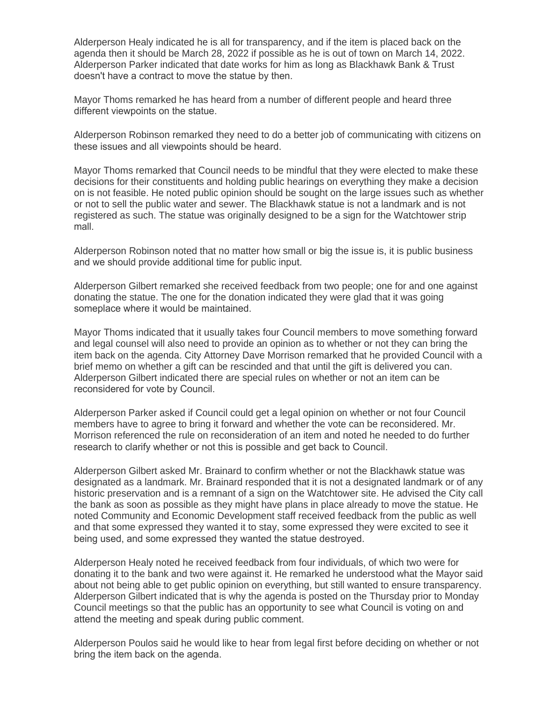Alderperson Healy indicated he is all for transparency, and if the item is placed back on the agenda then it should be March 28, 2022 if possible as he is out of town on March 14, 2022. Alderperson Parker indicated that date works for him as long as Blackhawk Bank & Trust doesn't have a contract to move the statue by then.

Mayor Thoms remarked he has heard from a number of different people and heard three different viewpoints on the statue.

Alderperson Robinson remarked they need to do a better job of communicating with citizens on these issues and all viewpoints should be heard.

Mayor Thoms remarked that Council needs to be mindful that they were elected to make these decisions for their constituents and holding public hearings on everything they make a decision on is not feasible. He noted public opinion should be sought on the large issues such as whether or not to sell the public water and sewer. The Blackhawk statue is not a landmark and is not registered as such. The statue was originally designed to be a sign for the Watchtower strip mall.

Alderperson Robinson noted that no matter how small or big the issue is, it is public business and we should provide additional time for public input.

Alderperson Gilbert remarked she received feedback from two people; one for and one against donating the statue. The one for the donation indicated they were glad that it was going someplace where it would be maintained.

Mayor Thoms indicated that it usually takes four Council members to move something forward and legal counsel will also need to provide an opinion as to whether or not they can bring the item back on the agenda. City Attorney Dave Morrison remarked that he provided Council with a brief memo on whether a gift can be rescinded and that until the gift is delivered you can. Alderperson Gilbert indicated there are special rules on whether or not an item can be reconsidered for vote by Council.

Alderperson Parker asked if Council could get a legal opinion on whether or not four Council members have to agree to bring it forward and whether the vote can be reconsidered. Mr. Morrison referenced the rule on reconsideration of an item and noted he needed to do further research to clarify whether or not this is possible and get back to Council.

Alderperson Gilbert asked Mr. Brainard to confirm whether or not the Blackhawk statue was designated as a landmark. Mr. Brainard responded that it is not a designated landmark or of any historic preservation and is a remnant of a sign on the Watchtower site. He advised the City call the bank as soon as possible as they might have plans in place already to move the statue. He noted Community and Economic Development staff received feedback from the public as well and that some expressed they wanted it to stay, some expressed they were excited to see it being used, and some expressed they wanted the statue destroyed.

Alderperson Healy noted he received feedback from four individuals, of which two were for donating it to the bank and two were against it. He remarked he understood what the Mayor said about not being able to get public opinion on everything, but still wanted to ensure transparency. Alderperson Gilbert indicated that is why the agenda is posted on the Thursday prior to Monday Council meetings so that the public has an opportunity to see what Council is voting on and attend the meeting and speak during public comment.

Alderperson Poulos said he would like to hear from legal first before deciding on whether or not bring the item back on the agenda.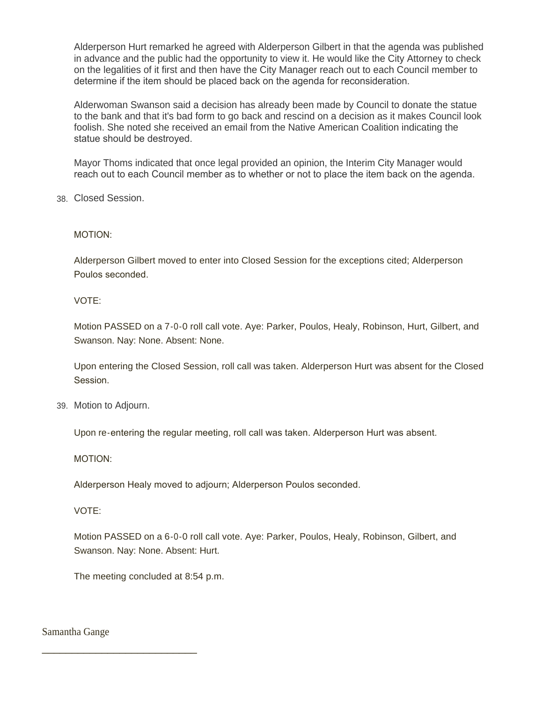Alderperson Hurt remarked he agreed with Alderperson Gilbert in that the agenda was published in advance and the public had the opportunity to view it. He would like the City Attorney to check on the legalities of it first and then have the City Manager reach out to each Council member to determine if the item should be placed back on the agenda for reconsideration.

Alderwoman Swanson said a decision has already been made by Council to donate the statue to the bank and that it's bad form to go back and rescind on a decision as it makes Council look foolish. She noted she received an email from the Native American Coalition indicating the statue should be destroyed.

Mayor Thoms indicated that once legal provided an opinion, the Interim City Manager would reach out to each Council member as to whether or not to place the item back on the agenda.

Closed Session. 38.

MOTION:

Alderperson Gilbert moved to enter into Closed Session for the exceptions cited; Alderperson Poulos seconded.

VOTE:

Motion PASSED on a 7-0-0 roll call vote. Aye: Parker, Poulos, Healy, Robinson, Hurt, Gilbert, and Swanson. Nay: None. Absent: None.

Upon entering the Closed Session, roll call was taken. Alderperson Hurt was absent for the Closed Session.

39. Motion to Adjourn.

Upon re-entering the regular meeting, roll call was taken. Alderperson Hurt was absent.

MOTION:

Alderperson Healy moved to adjourn; Alderperson Poulos seconded.

VOTE:

Motion PASSED on a 6-0-0 roll call vote. Aye: Parker, Poulos, Healy, Robinson, Gilbert, and Swanson. Nay: None. Absent: Hurt.

The meeting concluded at 8:54 p.m.

\_\_\_\_\_\_\_\_\_\_\_\_\_\_\_\_\_\_\_\_\_\_\_\_\_\_

Samantha Gange